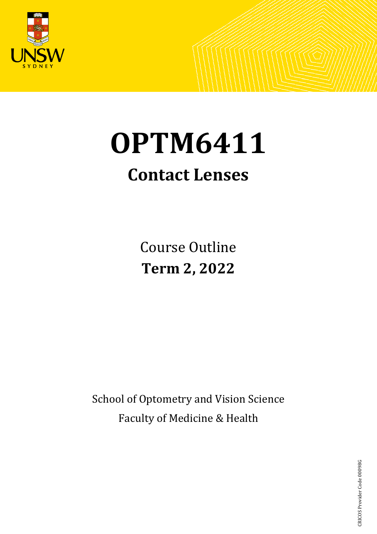

# **OPTM6411**

# **Contact Lenses**

Course Outline **Term 2, 2022**

School of Optometry and Vision Science Faculty of Medicine & Health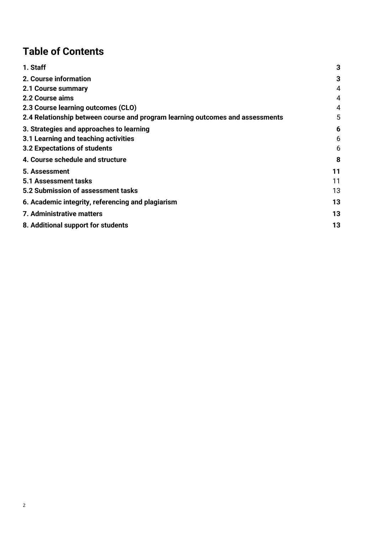# **Table of Contents**

| 1. Staff                                                                      | 3  |
|-------------------------------------------------------------------------------|----|
| 2. Course information                                                         | 3  |
| 2.1 Course summary                                                            | 4  |
| 2.2 Course aims                                                               | 4  |
| 2.3 Course learning outcomes (CLO)                                            | 4  |
| 2.4 Relationship between course and program learning outcomes and assessments | 5  |
| 3. Strategies and approaches to learning                                      | 6  |
| 3.1 Learning and teaching activities                                          | 6  |
| 3.2 Expectations of students                                                  | 6  |
| 4. Course schedule and structure                                              | 8  |
| 5. Assessment                                                                 | 11 |
| 5.1 Assessment tasks                                                          | 11 |
| 5.2 Submission of assessment tasks                                            | 13 |
| 6. Academic integrity, referencing and plagiarism                             | 13 |
| 7. Administrative matters                                                     | 13 |
| 8. Additional support for students                                            | 13 |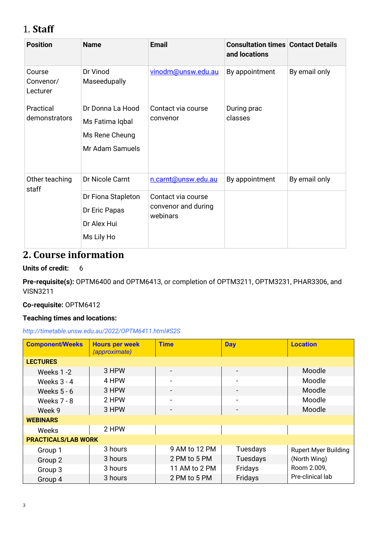# <span id="page-2-0"></span>1. **Staff**

| <b>Position</b>                 | <b>Name</b>                                                                         | <b>Email</b>                                                                 | <b>Consultation times Contact Details</b><br>and locations |               |
|---------------------------------|-------------------------------------------------------------------------------------|------------------------------------------------------------------------------|------------------------------------------------------------|---------------|
| Course<br>Convenor/<br>Lecturer | Dr Vinod<br>Maseedupally                                                            | vinodm@unsw.edu.au                                                           | By appointment                                             | By email only |
| Practical<br>demonstrators      | Dr Donna La Hood<br>Ms Fatima Iqbal<br>Ms Rene Cheung<br>Mr Adam Samuels            | Contact via course<br>convenor                                               | During prac<br>classes                                     |               |
| Other teaching<br>staff         | Dr Nicole Carnt<br>Dr Fiona Stapleton<br>Dr Eric Papas<br>Dr Alex Hui<br>Ms Lily Ho | n.carnt@unsw.edu.au<br>Contact via course<br>convenor and during<br>webinars | By appointment                                             | By email only |

# <span id="page-2-1"></span>**2. Course information**

#### **Units of credit:** 6

**Pre-requisite(s):** OPTM6400 and OPTM6413, or completion of OPTM3211, OPTM3231, PHAR3306, and VISN3211

#### **Co-requisite:** OPTM6412

#### **Teaching times and locations:**

#### *http://timetable.unsw.edu.au/2022/OPTM6411.html#S2S*

| <b>Component/Weeks</b>     | <b>Hours per week</b><br><i>(approximate)</i> | <b>Time</b>              | Day                      | <b>Location</b>             |
|----------------------------|-----------------------------------------------|--------------------------|--------------------------|-----------------------------|
| <b>LECTURES</b>            |                                               |                          |                          |                             |
| Weeks 1-2                  | 3 HPW                                         |                          |                          | Moodle                      |
| Weeks $3 - 4$              | 4 HPW                                         | $\overline{\phantom{a}}$ | $\qquad \qquad$          | Moodle                      |
| Weeks $5 - 6$              | 3 HPW                                         | $\overline{\phantom{a}}$ |                          | Moodle                      |
| Weeks 7 - 8                | 2 HPW                                         | $\blacksquare$           | $\overline{\phantom{0}}$ | Moodle                      |
| Week 9                     | 3 HPW                                         |                          |                          | Moodle                      |
| <b>WEBINARS</b>            |                                               |                          |                          |                             |
| Weeks                      | 2 HPW                                         |                          |                          |                             |
| <b>PRACTICALS/LAB WORK</b> |                                               |                          |                          |                             |
| Group 1                    | 3 hours                                       | 9 AM to 12 PM            | Tuesdays                 | <b>Rupert Myer Building</b> |
| Group 2                    | 3 hours                                       | 2 PM to 5 PM             | Tuesdays                 | (North Wing)                |
| Group 3                    | 3 hours                                       | 11 AM to 2 PM            | Fridays                  | Room 2.009,                 |
| Group 4                    | 3 hours                                       | 2 PM to 5 PM             | Fridays                  | Pre-clinical lab            |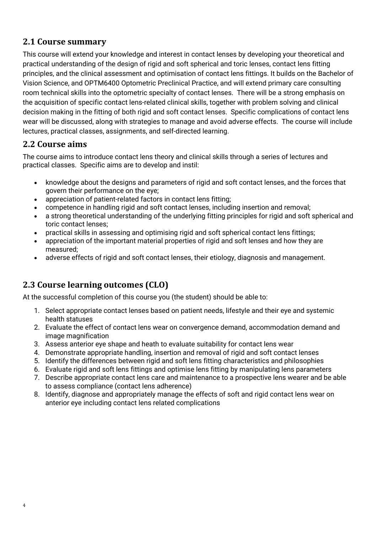#### <span id="page-3-0"></span>**2.1 Course summary**

This course will extend your knowledge and interest in contact lenses by developing your theoretical and practical understanding of the design of rigid and soft spherical and toric lenses, contact lens fitting principles, and the clinical assessment and optimisation of contact lens fittings. It builds on the Bachelor of Vision Science, and OPTM6400 Optometric Preclinical Practice, and will extend primary care consulting room technical skills into the optometric specialty of contact lenses. There will be a strong emphasis on the acquisition of specific contact lens-related clinical skills, together with problem solving and clinical decision making in the fitting of both rigid and soft contact lenses. Specific complications of contact lens wear will be discussed, along with strategies to manage and avoid adverse effects. The course will include lectures, practical classes, assignments, and self-directed learning.

#### <span id="page-3-1"></span>**2.2 Course aims**

The course aims to introduce contact lens theory and clinical skills through a series of lectures and practical classes. Specific aims are to develop and instil:

- knowledge about the designs and parameters of rigid and soft contact lenses, and the forces that govern their performance on the eye;
- appreciation of patient-related factors in contact lens fitting:
- competence in handling rigid and soft contact lenses, including insertion and removal;
- a strong theoretical understanding of the underlying fitting principles for rigid and soft spherical and toric contact lenses;
- practical skills in assessing and optimising rigid and soft spherical contact lens fittings;
- appreciation of the important material properties of rigid and soft lenses and how they are measured;
- adverse effects of rigid and soft contact lenses, their etiology, diagnosis and management.

#### <span id="page-3-2"></span>**2.3 Course learning outcomes (CLO)**

At the successful completion of this course you (the student) should be able to:

- 1. Select appropriate contact lenses based on patient needs, lifestyle and their eye and systemic health statuses
- 2. Evaluate the effect of contact lens wear on convergence demand, accommodation demand and image magnification
- 3. Assess anterior eye shape and heath to evaluate suitability for contact lens wear
- 4. Demonstrate appropriate handling, insertion and removal of rigid and soft contact lenses
- 5. Identify the differences between rigid and soft lens fitting characteristics and philosophies
- 6. Evaluate rigid and soft lens fittings and optimise lens fitting by manipulating lens parameters
- 7. Describe appropriate contact lens care and maintenance to a prospective lens wearer and be able to assess compliance (contact lens adherence)
- 8. Identify, diagnose and appropriately manage the effects of soft and rigid contact lens wear on anterior eye including contact lens related complications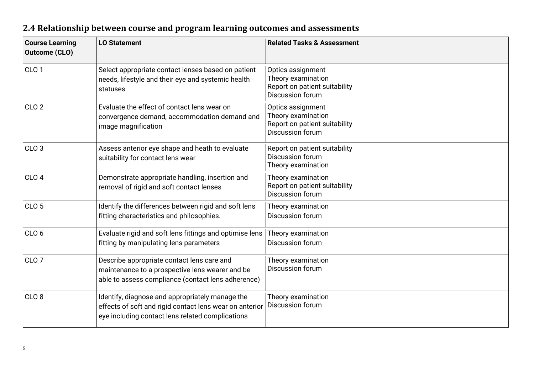<span id="page-4-0"></span>

| <b>Course Learning</b><br><b>Outcome (CLO)</b> | <b>LO Statement</b>                                                                                                                                            | <b>Related Tasks &amp; Assessment</b>                                                        |
|------------------------------------------------|----------------------------------------------------------------------------------------------------------------------------------------------------------------|----------------------------------------------------------------------------------------------|
| CLO <sub>1</sub>                               | Select appropriate contact lenses based on patient<br>needs, lifestyle and their eye and systemic health<br>statuses                                           | Optics assignment<br>Theory examination<br>Report on patient suitability<br>Discussion forum |
| CLO <sub>2</sub>                               | Evaluate the effect of contact lens wear on<br>convergence demand, accommodation demand and<br>image magnification                                             | Optics assignment<br>Theory examination<br>Report on patient suitability<br>Discussion forum |
| CLO <sub>3</sub>                               | Assess anterior eye shape and heath to evaluate<br>suitability for contact lens wear                                                                           | Report on patient suitability<br>Discussion forum<br>Theory examination                      |
| CLO <sub>4</sub>                               | Demonstrate appropriate handling, insertion and<br>removal of rigid and soft contact lenses                                                                    | Theory examination<br>Report on patient suitability<br><b>Discussion forum</b>               |
| CLO <sub>5</sub>                               | Identify the differences between rigid and soft lens<br>fitting characteristics and philosophies.                                                              | Theory examination<br>Discussion forum                                                       |
| CLO <sub>6</sub>                               | Evaluate rigid and soft lens fittings and optimise lens<br>fitting by manipulating lens parameters                                                             | Theory examination<br>Discussion forum                                                       |
| CLO <sub>7</sub>                               | Describe appropriate contact lens care and<br>maintenance to a prospective lens wearer and be<br>able to assess compliance (contact lens adherence)            | Theory examination<br>Discussion forum                                                       |
| CLO <sub>8</sub>                               | Identify, diagnose and appropriately manage the<br>effects of soft and rigid contact lens wear on anterior<br>eye including contact lens related complications | Theory examination<br>Discussion forum                                                       |

# **2.4 Relationship between course and program learning outcomes and assessments**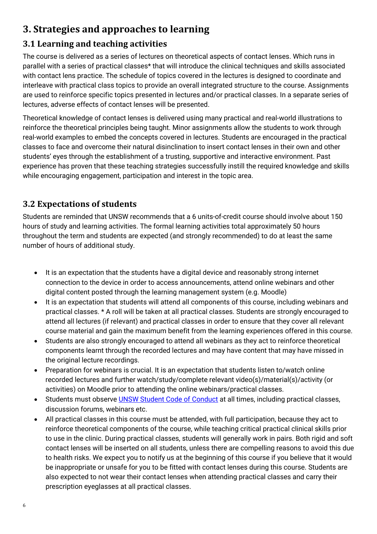# <span id="page-5-0"></span>**3. Strategies and approaches to learning**

#### <span id="page-5-1"></span>**3.1 Learning and teaching activities**

The course is delivered as a series of lectures on theoretical aspects of contact lenses. Which runs in parallel with a series of practical classes\* that will introduce the clinical techniques and skills associated with contact lens practice. The schedule of topics covered in the lectures is designed to coordinate and interleave with practical class topics to provide an overall integrated structure to the course. Assignments are used to reinforce specific topics presented in lectures and/or practical classes. In a separate series of lectures, adverse effects of contact lenses will be presented.

Theoretical knowledge of contact lenses is delivered using many practical and real-world illustrations to reinforce the theoretical principles being taught. Minor assignments allow the students to work through real-world examples to embed the concepts covered in lectures. Students are encouraged in the practical classes to face and overcome their natural disinclination to insert contact lenses in their own and other students' eyes through the establishment of a trusting, supportive and interactive environment. Past experience has proven that these teaching strategies successfully instill the required knowledge and skills while encouraging engagement, participation and interest in the topic area.

#### <span id="page-5-2"></span>**3.2 Expectations of students**

Students are reminded that UNSW recommends that a 6 units-of-credit course should involve about 150 hours of study and learning activities. The formal learning activities total approximately 50 hours throughout the term and students are expected (and strongly recommended) to do at least the same number of hours of additional study.

- It is an expectation that the students have a digital device and reasonably strong internet connection to the device in order to access announcements, attend online webinars and other digital content posted through the learning management system (e.g. Moodle)
- It is an expectation that students will attend all components of this course, including webinars and practical classes. \* A roll will be taken at all practical classes. Students are strongly encouraged to attend all lectures (if relevant) and practical classes in order to ensure that they cover all relevant course material and gain the maximum benefit from the learning experiences offered in this course.
- Students are also strongly encouraged to attend all webinars as they act to reinforce theoretical components learnt through the recorded lectures and may have content that may have missed in the original lecture recordings.
- Preparation for webinars is crucial. It is an expectation that students listen to/watch online recorded lectures and further watch/study/complete relevant video(s)/material(s)/activity (or activities) on Moodle prior to attending the online webinars/practical classes.
- Students must observe **UNSW Student Code of Conduct** at all times, including practical classes, discussion forums, webinars etc.
- All practical classes in this course must be attended, with full participation, because they act to reinforce theoretical components of the course, while teaching critical practical clinical skills prior to use in the clinic. During practical classes, students will generally work in pairs. Both rigid and soft contact lenses will be inserted on all students, unless there are compelling reasons to avoid this due to health risks. We expect you to notify us at the beginning of this course if you believe that it would be inappropriate or unsafe for you to be fitted with contact lenses during this course. Students are also expected to not wear their contact lenses when attending practical classes and carry their prescription eyeglasses at all practical classes.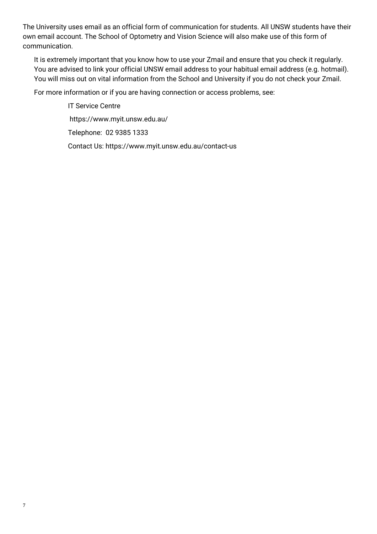The University uses email as an official form of communication for students. All UNSW students have their own email account. The School of Optometry and Vision Science will also make use of this form of communication.

It is extremely important that you know how to use your Zmail and ensure that you check it regularly. You are advised to link your official UNSW email address to your habitual email address (e.g. hotmail). You will miss out on vital information from the School and University if you do not check your Zmail.

For more information or if you are having connection or access problems, see:

IT Service Centre https://www.myit.unsw.edu.au/ Telephone: 02 9385 1333 Contact Us: https://www.myit.unsw.edu.au/contact-us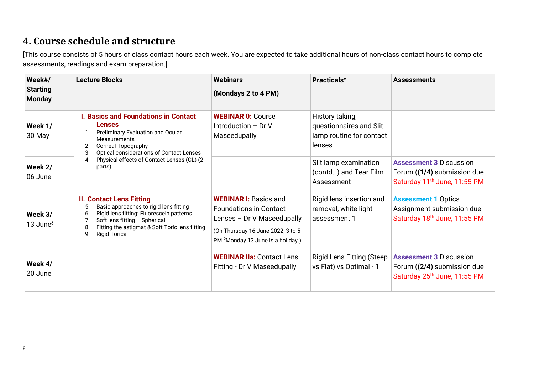# **4. Course schedule and structure**

[This course consists of 5 hours of class contact hours each week. You are expected to take additional hours of non-class contact hours to complete assessments, readings and exam preparation.]

<span id="page-7-0"></span>

| Week#/<br><b>Starting</b><br><b>Monday</b> | <b>Lecture Blocks</b>                                                                                                                                                                                                                                                     | <b>Webinars</b><br>(Mondays 2 to 4 PM)                                                                                                                                            | <b>Practicals<sup><math>\tau</math></sup></b>                                    | <b>Assessments</b>                                                                                        |
|--------------------------------------------|---------------------------------------------------------------------------------------------------------------------------------------------------------------------------------------------------------------------------------------------------------------------------|-----------------------------------------------------------------------------------------------------------------------------------------------------------------------------------|----------------------------------------------------------------------------------|-----------------------------------------------------------------------------------------------------------|
| Week 1/<br>30 May                          | <b>I. Basics and Foundations in Contact</b><br><b>Lenses</b><br>Preliminary Evaluation and Ocular<br><b>Measurements</b><br><b>Corneal Topography</b><br>Optical considerations of Contact Lenses<br>3.                                                                   | <b>WEBINAR 0: Course</b><br>Introduction $-$ Dr V<br>Maseedupally                                                                                                                 | History taking,<br>questionnaires and Slit<br>lamp routine for contact<br>lenses |                                                                                                           |
| Week 2/<br>06 June                         | Physical effects of Contact Lenses (CL) (2<br>4.<br>parts)                                                                                                                                                                                                                |                                                                                                                                                                                   | Slit lamp examination<br>(contd) and Tear Film<br>Assessment                     | <b>Assessment 3 Discussion</b><br>Forum ((1/4) submission due<br>Saturday 11 <sup>th</sup> June, 11:55 PM |
| Week 3/<br>13 June $\delta$                | <b>II. Contact Lens Fitting</b><br>Basic approaches to rigid lens fitting<br>5.<br>Rigid lens fitting: Fluorescein patterns<br>6.<br>Soft lens fitting - Spherical<br>7 <sub>1</sub><br>Fitting the astigmat & Soft Toric lens fitting<br>8.<br>9.<br><b>Rigid Torics</b> | <b>WEBINAR I: Basics and</b><br><b>Foundations in Contact</b><br>Lenses - Dr V Maseedupally<br>(On Thursday 16 June 2022, 3 to 5<br>PM <sup>8</sup> Monday 13 June is a holiday.) | Rigid lens insertion and<br>removal, white light<br>assessment 1                 | <b>Assessment 1 Optics</b><br>Assignment submission due<br>Saturday 18th June, 11:55 PM                   |
| Week 4/<br>20 June                         |                                                                                                                                                                                                                                                                           | <b>WEBINAR IIa: Contact Lens</b><br>Fitting - Dr V Maseedupally                                                                                                                   | <b>Rigid Lens Fitting (Steep</b><br>vs Flat) vs Optimal - 1                      | <b>Assessment 3 Discussion</b><br>Forum ((2/4) submission due<br>Saturday 25 <sup>th</sup> June, 11:55 PM |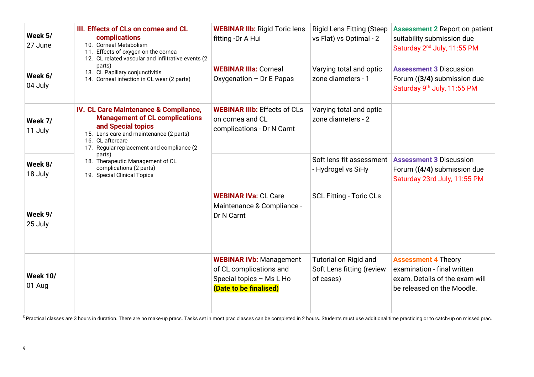| Week 5/<br>27 June        | III. Effects of CLs on cornea and CL<br>complications<br>10. Corneal Metabolism<br>11. Effects of oxygen on the cornea<br>12. CL related vascular and infiltrative events (2                                                | <b>WEBINAR IIb: Rigid Toric lens</b><br>fitting -Dr A Hui                                                       | <b>Rigid Lens Fitting (Steep</b><br>vs Flat) vs Optimal - 2     | <b>Assessment 2 Report on patient</b><br>suitability submission due<br>Saturday 2 <sup>nd</sup> July, 11:55 PM            |
|---------------------------|-----------------------------------------------------------------------------------------------------------------------------------------------------------------------------------------------------------------------------|-----------------------------------------------------------------------------------------------------------------|-----------------------------------------------------------------|---------------------------------------------------------------------------------------------------------------------------|
| Week 6/<br>04 July        | parts)<br>13. CL Papillary conjunctivitis<br>14. Corneal infection in CL wear (2 parts)                                                                                                                                     | <b>WEBINAR IIIa: Corneal</b><br>Oxygenation - Dr E Papas                                                        | Varying total and optic<br>zone diameters - 1                   | <b>Assessment 3 Discussion</b><br>Forum ((3/4) submission due<br>Saturday 9th July, 11:55 PM                              |
| Week 7/<br>11 July        | <b>IV. CL Care Maintenance &amp; Compliance,</b><br><b>Management of CL complications</b><br>and Special topics<br>15. Lens care and maintenance (2 parts)<br>16. CL aftercare<br>17. Regular replacement and compliance (2 | <b>WEBINAR IIIb: Effects of CLs</b><br>on cornea and CL<br>complications - Dr N Carnt                           | Varying total and optic<br>zone diameters - 2                   |                                                                                                                           |
| Week 8/<br>18 July        | parts)<br>18. Therapeutic Management of CL<br>complications (2 parts)<br>19. Special Clinical Topics                                                                                                                        |                                                                                                                 | Soft lens fit assessment<br>- Hydrogel vs SiHy                  | <b>Assessment 3 Discussion</b><br>Forum ((4/4) submission due<br>Saturday 23rd July, 11:55 PM                             |
| Week 9/<br>25 July        |                                                                                                                                                                                                                             | <b>WEBINAR IVa: CL Care</b><br>Maintenance & Compliance -<br>Dr N Carnt                                         | <b>SCL Fitting - Toric CLs</b>                                  |                                                                                                                           |
| <b>Week 10/</b><br>01 Aug |                                                                                                                                                                                                                             | <b>WEBINAR IVb: Management</b><br>of CL complications and<br>Special topics - Ms L Ho<br>(Date to be finalised) | Tutorial on Rigid and<br>Soft Lens fitting (review<br>of cases) | <b>Assessment 4 Theory</b><br>examination - final written<br>exam. Details of the exam will<br>be released on the Moodle. |

<sup>τ</sup> Practical classes are 3 hours in duration. There are no make-up pracs. Tasks set in most prac classes can be completed in 2 hours. Students must use additional time practicing or to catch-up on missed prac.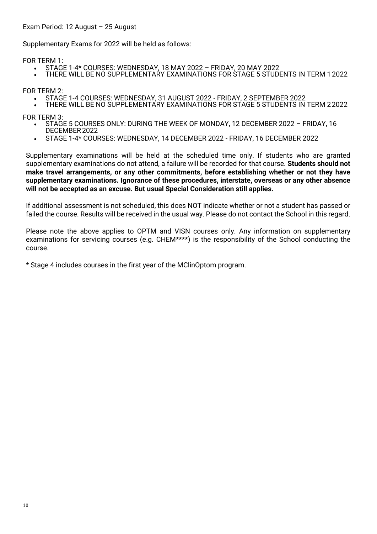#### Exam Period: 12 August – 25 August

Supplementary Exams for 2022 will be held as follows:

FOR TERM 1:

- STAGE 1-4\* COURSES: WEDNESDAY, 18 MAY 2022 FRIDAY, 20 MAY 2022
- THERE WILL BE NO SUPPLEMENTARY EXAMINATIONS FOR STAGE 5 STUDENTS IN TERM 1 2022

FOR TERM 2:

- STAGE 1-4 COURSES: WEDNESDAY, 31 AUGUST 2022 FRIDAY, 2 SEPTEMBER 2022
- THERE WILL BE NO SUPPLEMENTARY EXAMINATIONS FOR STAGE 5 STUDENTS IN TERM 22022

FOR TERM 3:

- STAGE 5 COURSES ONLY: DURING THE WEEK OF MONDAY, 12 DECEMBER 2022 FRIDAY, 16 DECEMBER2022
- STAGE 1-4\* COURSES: WEDNESDAY, 14 DECEMBER 2022 FRIDAY, 16 DECEMBER 2022

Supplementary examinations will be held at the scheduled time only. If students who are granted supplementary examinations do not attend, a failure will be recorded for that course. **Students should not make travel arrangements, or any other commitments, before establishing whether or not they have supplementary examinations. Ignorance of these procedures, interstate, overseas or any other absence will not be accepted as an excuse. But usual Special Consideration still applies.**

If additional assessment is not scheduled, this does NOT indicate whether or not a student has passed or failed the course. Results will be received in the usual way. Please do not contact the School in this regard.

Please note the above applies to OPTM and VISN courses only. Any information on supplementary examinations for servicing courses (e.g. CHEM\*\*\*\*) is the responsibility of the School conducting the course.

\* Stage 4 includes courses in the first year of the MClinOptom program.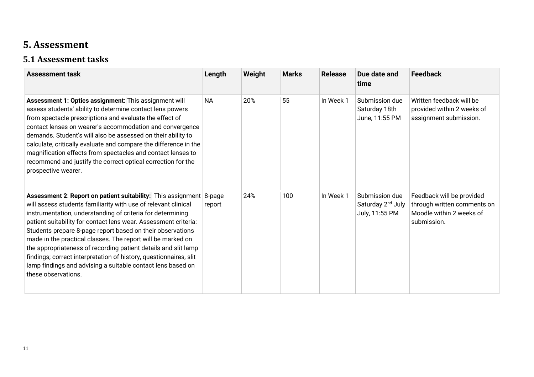# **5. Assessment**

#### **5.1 Assessment tasks**

<span id="page-10-1"></span><span id="page-10-0"></span>

| <b>Assessment task</b>                                                                                                                                                                                                                                                                                                                                                                                                                                                                                                                                                                                                                  | Length    | Weight | <b>Marks</b> | <b>Release</b> | Due date and<br>time                                              | <b>Feedback</b>                                                                                     |
|-----------------------------------------------------------------------------------------------------------------------------------------------------------------------------------------------------------------------------------------------------------------------------------------------------------------------------------------------------------------------------------------------------------------------------------------------------------------------------------------------------------------------------------------------------------------------------------------------------------------------------------------|-----------|--------|--------------|----------------|-------------------------------------------------------------------|-----------------------------------------------------------------------------------------------------|
| Assessment 1: Optics assignment: This assignment will<br>assess students' ability to determine contact lens powers<br>from spectacle prescriptions and evaluate the effect of<br>contact lenses on wearer's accommodation and convergence<br>demands. Student's will also be assessed on their ability to<br>calculate, critically evaluate and compare the difference in the<br>magnification effects from spectacles and contact lenses to<br>recommend and justify the correct optical correction for the<br>prospective wearer.                                                                                                     | <b>NA</b> | 20%    | 55           | In Week 1      | Submission due<br>Saturday 18th<br>June, 11:55 PM                 | Written feedback will be<br>provided within 2 weeks of<br>assignment submission.                    |
| <b>Assessment 2: Report on patient suitability:</b> This assignment 8-page<br>will assess students familiarity with use of relevant clinical<br>instrumentation, understanding of criteria for determining<br>patient suitability for contact lens wear. Assessment criteria:<br>Students prepare 8-page report based on their observations<br>made in the practical classes. The report will be marked on<br>the appropriateness of recording patient details and slit lamp<br>findings; correct interpretation of history, questionnaires, slit<br>lamp findings and advising a suitable contact lens based on<br>these observations. | report    | 24%    | 100          | In Week 1      | Submission due<br>Saturday 2 <sup>nd</sup> July<br>July, 11:55 PM | Feedback will be provided<br>through written comments on<br>Moodle within 2 weeks of<br>submission. |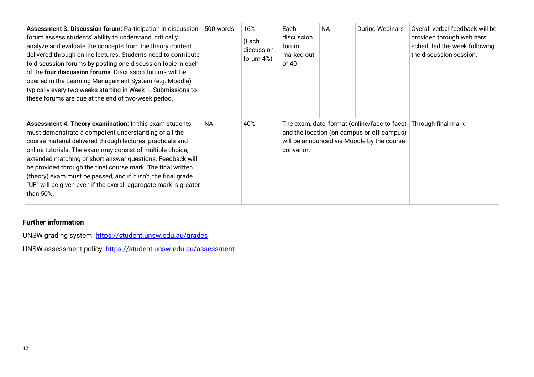| Assessment 3: Discussion forum: Participation in discussion<br>forum assess students' ability to understand, critically<br>analyze and evaluate the concepts from the theory content<br>delivered through online lectures. Students need to contribute<br>to discussion forums by posting one discussion topic in each<br>of the four discussion forums. Discussion forums will be<br>opened in the Learning Management System (e.g. Moodle)<br>typically every two weeks starting in Week 1. Submissions to<br>these forums are due at the end of two-week period. | 500 words | 16%<br>(Each<br>discussion<br>forum 4%) | Each<br>discussion<br>forum<br>marked out<br>of 40 | <b>NA</b> | <b>During Webinars</b>                                                                   | Overall verbal feedback will be<br>provided through webinars<br>scheduled the week following<br>the discussion session. |
|---------------------------------------------------------------------------------------------------------------------------------------------------------------------------------------------------------------------------------------------------------------------------------------------------------------------------------------------------------------------------------------------------------------------------------------------------------------------------------------------------------------------------------------------------------------------|-----------|-----------------------------------------|----------------------------------------------------|-----------|------------------------------------------------------------------------------------------|-------------------------------------------------------------------------------------------------------------------------|
| Assessment 4: Theory examination: In this exam students<br>must demonstrate a competent understanding of all the<br>course material delivered through lectures, practicals and<br>online tutorials. The exam may consist of multiple choice,<br>extended matching or short answer questions. Feedback will<br>be provided through the final course mark. The final written<br>(theory) exam must be passed, and if it isn't, the final grade<br>"UF" will be given even if the overall aggregate mark is greater<br>than 50%.                                       | NA        | 40%                                     | convenor.                                          |           | and the location (on-campus or off-campus)<br>will be announced via Moodle by the course | The exam, date, format (online/face-to-face) Through final mark                                                         |

#### **Further information**

UNSW grading system:<https://student.unsw.edu.au/grades>

UNSW assessment policy:<https://student.unsw.edu.au/assessment>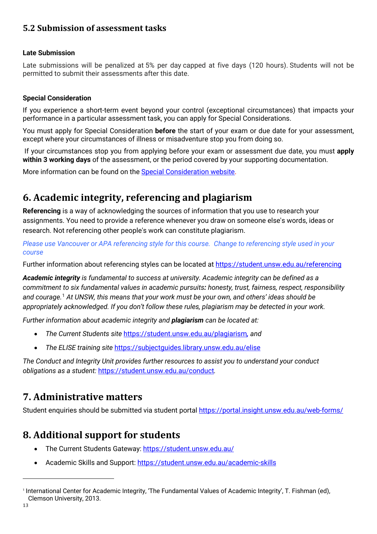#### <span id="page-12-0"></span>**5.2 Submission of assessment tasks**

#### **Late Submission**

Late submissions will be penalized at 5% per day capped at five days (120 hours). Students will not be permitted to submit their assessments after this date.

#### **Special Consideration**

If you experience a short-term event beyond your control (exceptional circumstances) that impacts your performance in a particular assessment task, you can apply for Special Considerations.

You must apply for Special Consideration **before** the start of your exam or due date for your assessment, except where your circumstances of illness or misadventure stop you from doing so.

If your circumstances stop you from applying before your exam or assessment due date, you must **apply within 3 working days** of the assessment, or the period covered by your supporting documentation.

More information can be found on the [Special Consideration website.](https://www.student.unsw.edu.au/special-consideration)

## <span id="page-12-1"></span>**6. Academic integrity, referencing and plagiarism**

**Referencing** is a way of acknowledging the sources of information that you use to research your assignments. You need to provide a reference whenever you draw on someone else's words, ideas or research. Not referencing other people's work can constitute plagiarism.

*Please use Vancouver or APA referencing style for this course.**Change to referencing style used in your course*

Further information about referencing styles can be located at<https://student.unsw.edu.au/referencing>

*Academic integrity is fundamental to success at university. Academic integrity can be defined as a commitment to six fundamental values in academic pursuits: honesty, trust, fairness, respect, responsibility and courage.*[1](#page-12-4) *At UNSW, this means that your work must be your own, and others' ideas should be appropriately acknowledged. If you don't follow these rules, plagiarism may be detected in your work.* 

*Further information about academic integrity and plagiarism can be located at:*

- *The Current Students site* <https://student.unsw.edu.au/plagiarism>*, and*
- *The ELISE training site* <https://subjectguides.library.unsw.edu.au/elise>

*The Conduct and Integrity Unit provides further resources to assist you to understand your conduct obligations as a student:* <https://student.unsw.edu.au/conduct>*.*

#### <span id="page-12-2"></span>**7. Administrative matters**

Student enquiries should be submitted via student portal<https://portal.insight.unsw.edu.au/web-forms/>

### <span id="page-12-3"></span>**8. Additional support for students**

- The Current Students Gateway:<https://student.unsw.edu.au/>
- Academic Skills and Support:<https://student.unsw.edu.au/academic-skills>

<span id="page-12-4"></span><sup>1</sup> International Center for Academic Integrity, 'The Fundamental Values of Academic Integrity', T. Fishman (ed), Clemson University, 2013.